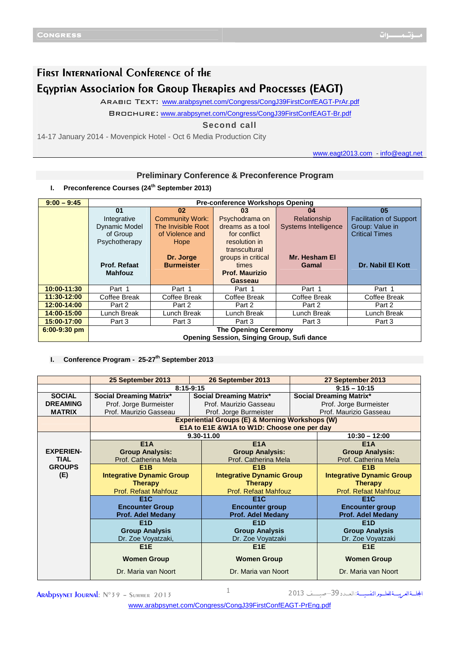## FIRST INTERNATIONAL CONFERENCE OF THE Egyptian Association for Group Therapies and Processes (EAGT)

Arabic Text: [www.arabpsynet.com/Congress/CongJ3](www.arabpsynet.com/Congress/CongJ39FirstConfEAGT-PrAr.pdf)9FirstConfEAGT-PrAr.pdf

Brochure: <www.arabpsynet.com/Congress/CongJ39FirstConfEAGT-Br.pdf>

## **Second call**

14-17 January 2014 - Movenpick Hotel - Oct 6 Media Production City

www.eagt2013.com - info@eagt.net

## **Preliminary Conference & Preconference Program**

**I. Preconference Courses (24th September 2013)** 

| $9:00 - 9:45$  | <b>Pre-conference Workshops Opening</b>    |                        |                       |                      |                                |
|----------------|--------------------------------------------|------------------------|-----------------------|----------------------|--------------------------------|
|                | 01                                         | 02                     | 03                    | 04                   | 05                             |
|                | Integrative                                | <b>Community Work:</b> | Psychodrama on        | Relationship         | <b>Facilitation of Support</b> |
|                | Dynamic Model                              | The Invisible Root     | dreams as a tool      | Systems Intelligence | Group: Value in                |
|                | of Group                                   | of Violence and        | for conflict          |                      | <b>Critical Times</b>          |
|                | Psychotherapy                              | Hope                   | resolution in         |                      |                                |
|                |                                            |                        | transcultural         |                      |                                |
|                |                                            | Dr. Jorge              | groups in critical    | Mr. Hesham El        |                                |
|                | Prof. Refaat                               | <b>Burmeister</b>      | times                 | Gamal                | <b>Dr. Nabil El Kott</b>       |
|                | <b>Mahfouz</b>                             |                        | <b>Prof. Maurizio</b> |                      |                                |
|                |                                            |                        | <b>Gasseau</b>        |                      |                                |
| 10:00-11:30    | Part 1                                     | Part 1                 | Part 1                | Part 1               | Part 1                         |
| 11:30-12:00    | Coffee Break                               | Coffee Break           | Coffee Break          | Coffee Break         | Coffee Break                   |
| 12:00-14:00    | Part 2                                     | Part 2                 | Part 2                | Part 2               | Part 2                         |
| 14:00-15:00    | Lunch Break                                | Lunch Break            | unch Break            | Lunch Break          | Lunch Break                    |
| 15:00-17:00    | Part 3                                     | Part 3                 | Part 3                | Part 3               | Part 3                         |
| $6:00-9:30$ pm | <b>The Opening Ceremony</b>                |                        |                       |                      |                                |
|                | Opening Session, Singing Group, Sufi dance |                        |                       |                      |                                |

## **I. Conference Program - 25-27th September 2013**

|                  | 25 September 2013                                          | 26 September 2013                |                                | 27 September 2013                |
|------------------|------------------------------------------------------------|----------------------------------|--------------------------------|----------------------------------|
|                  | $8:15-9:15$                                                |                                  | $9:15 - 10:15$                 |                                  |
| <b>SOCIAL</b>    | Social Dreaming Matrix*                                    | <b>Social Dreaming Matrix*</b>   | <b>Social Dreaming Matrix*</b> |                                  |
| <b>DREAMING</b>  | Prof. Jorge Burmeister                                     | Prof. Maurizio Gasseau           |                                |                                  |
| <b>MATRIX</b>    | Prof. Maurizio Gasseau                                     | Prof. Jorge Burmeister           |                                | Prof. Maurizio Gasseau           |
|                  | <b>Experiential Groups (E) &amp; Morning Workshops (W)</b> |                                  |                                |                                  |
|                  | E1A to E1E &W1A to W1D: Choose one per day                 |                                  |                                |                                  |
|                  |                                                            | 9.30-11.00                       |                                | $10:30 - 12:00$                  |
|                  | E <sub>1</sub> A                                           | E <sub>1</sub> A                 |                                | E <sub>1</sub> A                 |
| <b>EXPERIEN-</b> | <b>Group Analysis:</b>                                     | <b>Group Analysis:</b>           |                                | <b>Group Analysis:</b>           |
| <b>TIAL</b>      | Prof. Catherina Mela                                       | Prof. Catherina Mela             |                                | Prof. Catherina Mela             |
| <b>GROUPS</b>    | E <sub>1</sub> B                                           | E <sub>1</sub> B                 |                                | E <sub>1</sub> B                 |
| (E)              | <b>Integrative Dynamic Group</b>                           | <b>Integrative Dynamic Group</b> |                                | <b>Integrative Dynamic Group</b> |
|                  | <b>Therapy</b>                                             | <b>Therapy</b>                   |                                | <b>Therapy</b>                   |
|                  | <b>Prof. Refaat Mahfouz</b>                                | <b>Prof. Refaat Mahfouz</b>      |                                | <b>Prof. Refaat Mahfouz</b>      |
|                  | E <sub>1</sub> C                                           | E <sub>1</sub> C                 |                                | E <sub>1</sub> C                 |
|                  | <b>Encounter Group</b>                                     | <b>Encounter group</b>           |                                | <b>Encounter group</b>           |
|                  | Prof. Adel Medany                                          | <b>Prof. Adel Medany</b>         |                                | <b>Prof. Adel Medany</b>         |
|                  | E <sub>1</sub> D                                           | E <sub>1</sub> D                 |                                | E <sub>1</sub> D                 |
|                  | <b>Group Analysis</b>                                      | <b>Group Analysis</b>            |                                | <b>Group Analysis</b>            |
|                  | Dr. Zoe Voyatzaki,                                         | Dr. Zoe Voyatzaki                |                                | Dr. Zoe Voyatzaki                |
|                  | E <sub>1</sub> E                                           | E <sub>1</sub> E                 |                                | E <sub>1</sub> E                 |
|                  | <b>Women Group</b>                                         | <b>Women Group</b>               |                                | <b>Women Group</b>               |
|                  | Dr. Maria van Noort                                        | Dr. Maria van Noort              |                                | Dr. Maria van Noort              |

אـــــ א
ـــــ 
ـــــم אــــــ :אـ
ــــد 39– ـــــــــ <sup>013</sup> <sup>2</sup> <sup>1</sup> 2013 Summer – °39<sup>N</sup> :Journal Arabpsynet

<www.arabpsynet.com/Congress/CongJ39FirstConfEAGT-PrEng.pdf>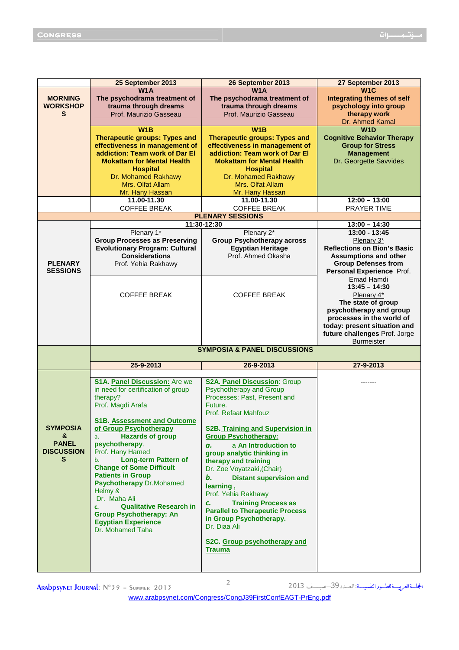|                   | 25 September 2013                                              | 26 September 2013                                                      | 27 September 2013                                          |
|-------------------|----------------------------------------------------------------|------------------------------------------------------------------------|------------------------------------------------------------|
|                   | <b>W1A</b>                                                     | W <sub>1</sub> A                                                       | W <sub>1</sub> C                                           |
| <b>MORNING</b>    | The psychodrama treatment of                                   | The psychodrama treatment of                                           | <b>Integrating themes of self</b>                          |
| <b>WORKSHOP</b>   | trauma through dreams                                          | trauma through dreams                                                  | psychology into group                                      |
| S                 | Prof. Maurizio Gasseau                                         | Prof. Maurizio Gasseau                                                 | therapy work                                               |
|                   |                                                                |                                                                        | Dr. Ahmed Kamal                                            |
|                   | W1B                                                            | W1B                                                                    | W1D                                                        |
|                   | <b>Therapeutic groups: Types and</b>                           | <b>Therapeutic groups: Types and</b>                                   | <b>Cognitive Behavior Therapy</b>                          |
|                   | effectiveness in management of                                 | effectiveness in management of                                         | <b>Group for Stress</b>                                    |
|                   | addiction: Team work of Dar El                                 | addiction: Team work of Dar El                                         | <b>Management</b>                                          |
|                   | <b>Mokattam for Mental Health</b>                              | <b>Mokattam for Mental Health</b>                                      | Dr. Georgette Savvides                                     |
|                   | <b>Hospital</b>                                                | <b>Hospital</b>                                                        |                                                            |
|                   | Dr. Mohamed Rakhawy                                            | Dr. Mohamed Rakhawy                                                    |                                                            |
|                   | Mrs. Olfat Allam                                               | Mrs. Olfat Allam                                                       |                                                            |
|                   | Mr. Hany Hassan                                                | Mr. Hany Hassan                                                        |                                                            |
|                   | 11.00-11.30                                                    | 11.00-11.30                                                            | $12:00 - 13:00$                                            |
|                   | <b>COFFEE BREAK</b>                                            | <b>COFFEE BREAK</b>                                                    | PRAYER TIME                                                |
|                   |                                                                | <b>PLENARY SESSIONS</b>                                                |                                                            |
|                   |                                                                | 11:30-12:30                                                            | $13:00 - 14:30$                                            |
|                   | Plenary 1*                                                     | Plenary 2*                                                             | $13:00 - 13:45$                                            |
|                   | <b>Group Processes as Preserving</b>                           | <b>Group Psychotherapy across</b>                                      | Plenary 3*<br><b>Reflections on Bion's Basic</b>           |
|                   | <b>Evolutionary Program: Cultural</b><br><b>Considerations</b> | <b>Egyptian Heritage</b><br>Prof. Ahmed Okasha                         |                                                            |
| <b>PLENARY</b>    | Prof. Yehia Rakhawy                                            |                                                                        | <b>Assumptions and other</b><br><b>Group Defenses from</b> |
| <b>SESSIONS</b>   |                                                                |                                                                        | Personal Experience Prof.                                  |
|                   |                                                                |                                                                        | Emad Hamdi                                                 |
|                   |                                                                |                                                                        | $13:45 - 14:30$                                            |
|                   | <b>COFFEE BREAK</b>                                            | <b>COFFEE BREAK</b>                                                    | Plenary 4*                                                 |
|                   |                                                                |                                                                        | The state of group                                         |
|                   |                                                                |                                                                        | psychotherapy and group                                    |
|                   |                                                                |                                                                        | processes in the world of                                  |
|                   |                                                                |                                                                        | today: present situation and                               |
|                   |                                                                |                                                                        | future challenges Prof. Jorge                              |
|                   |                                                                |                                                                        | <b>Burmeister</b>                                          |
|                   |                                                                |                                                                        |                                                            |
|                   |                                                                | <b>SYMPOSIA &amp; PANEL DISCUSSIONS</b>                                |                                                            |
|                   | 25-9-2013                                                      | 26-9-2013                                                              | 27-9-2013                                                  |
|                   |                                                                |                                                                        |                                                            |
|                   | S1A. Panel Discussion: Are we                                  | S2A. Panel Discussion: Group                                           |                                                            |
|                   | in need for certification of group                             | <b>Psychotherapy and Group</b>                                         |                                                            |
|                   | therapy?                                                       | Processes: Past, Present and                                           |                                                            |
|                   | Prof. Magdi Arafa                                              | Future.                                                                |                                                            |
|                   |                                                                | Prof. Refaat Mahfouz                                                   |                                                            |
| <b>SYMPOSIA</b>   | <b>S1B. Assessment and Outcome</b>                             |                                                                        |                                                            |
| &                 | of Group Psychotherapy<br><b>Hazards of group</b><br>a.        | <b>S2B. Training and Supervision in</b><br><b>Group Psychotherapy:</b> |                                                            |
| <b>PANEL</b>      | psychotherapy.                                                 | a An Introduction to<br>а.                                             |                                                            |
| <b>DISCUSSION</b> | Prof. Hany Hamed                                               | group analytic thinking in                                             |                                                            |
| s                 | <b>Long-term Pattern of</b><br>b.                              | therapy and training                                                   |                                                            |
|                   | <b>Change of Some Difficult</b>                                | Dr. Zoe Voyatzaki, (Chair)                                             |                                                            |
|                   | <b>Patients in Group</b>                                       | b.<br><b>Distant supervision and</b>                                   |                                                            |
|                   | <b>Psychotherapy Dr.Mohamed</b>                                | learning,                                                              |                                                            |
|                   | Helmy &                                                        | Prof. Yehia Rakhawy                                                    |                                                            |
|                   | Dr. Maha Ali                                                   | <b>Training Process as</b><br>c.                                       |                                                            |
|                   | <b>Qualitative Research in</b><br>c.                           | <b>Parallel to Therapeutic Process</b>                                 |                                                            |
|                   | <b>Group Psychotherapy: An</b>                                 | in Group Psychotherapy.                                                |                                                            |
|                   | <b>Egyptian Experience</b><br>Dr. Mohamed Taha                 | Dr. Diaa Ali                                                           |                                                            |
|                   |                                                                |                                                                        |                                                            |
|                   |                                                                | S2C. Group psychotherapy and                                           |                                                            |
|                   |                                                                | <b>Trauma</b>                                                          |                                                            |
|                   |                                                                |                                                                        |                                                            |

المجلسةالعريســةللعلسومرالنفسيـــة: ال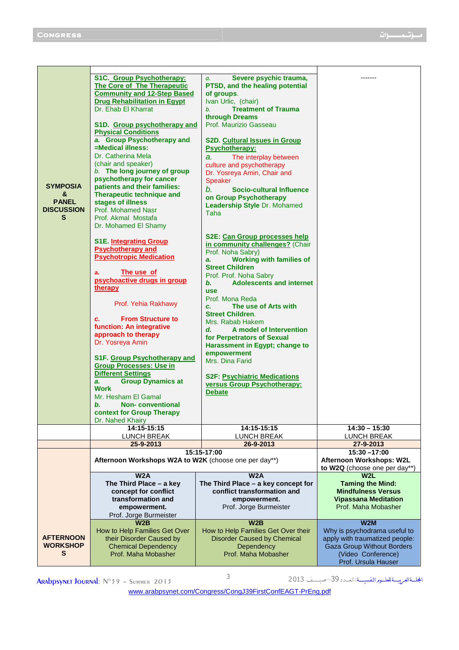| <b>SYMPOSIA</b><br>&<br><b>PANEL</b><br><b>DISCUSSION</b><br>S | S1C. Group Psychotherapy:<br>The Core of The Therapeutic<br><b>Community and 12-Step Based</b><br><b>Drug Rehabilitation in Egypt</b><br>Dr. Ehab El Kharrat<br>S1D. Group psychotherapy and<br><b>Physical Conditions</b><br>a. Group Psychotherapy and<br>=Medical illness:<br>Dr. Catherina Mela<br>(chair and speaker)<br>b. The long journey of group<br>psychotherapy for cancer<br>patients and their families:<br>Therapeutic technique and<br>stages of illness<br>Prof. Mohamed Nasr<br>Prof. Akmal Mostafa<br>Dr. Mohamed El Shamy<br><b>S1E.</b> Integrating Group<br><b>Psychotherapy and</b><br><b>Psychotropic Medication</b><br>The use of<br>a.<br>psychoactive drugs in group<br>therapy<br>Prof. Yehia Rakhawy<br><b>From Structure to</b><br>c.<br>function: An integrative<br>approach to therapy<br>Dr. Yosreya Amin<br>S1F. Group Psychotherapy and<br><b>Group Processes: Use in</b><br><b>Different Settings</b><br><b>Group Dynamics at</b><br>a.<br><b>Work</b><br>Mr. Hesham El Gamal<br>b. Non-conventional | Severe psychic trauma,<br>$a_{\cdot}$<br>PTSD, and the healing potential<br>of groups.<br>Ivan Urlic, (chair)<br><b>Treatment of Trauma</b><br>b.<br>through Dreams<br>Prof. Maurizio Gasseau<br><b>S2D. Cultural Issues in Group</b><br><b>Psychotherapy:</b><br>The interplay between<br>a.<br>culture and psychotherapy<br>Dr. Yosreya Amin, Chair and<br><b>Speaker</b><br>b.<br><b>Socio-cultural Influence</b><br>on Group Psychotherapy<br>Leadership Style Dr. Mohamed<br>Taha<br>S2E: Can Group processes help<br>in community challenges? (Chair<br>Prof. Noha Sabry)<br><b>Working with families of</b><br>a.<br><b>Street Children</b><br>Prof. Prof. Noha Sabry<br><b>Adolescents and internet</b><br>b.<br><b>use</b><br>Prof. Mona Reda<br>The use of Arts with<br>C.<br><b>Street Children.</b><br>Mrs. Rabab Hakem<br>A model of Intervention<br>d.<br>for Perpetrators of Sexual<br>Harassment in Egypt; change to<br>empowerment<br>Mrs. Dina Farid<br><b>S2F: Psychiatric Medications</b><br>versus Group Psychotherapy:<br><b>Debate</b> |                                                                                                                                                  |
|----------------------------------------------------------------|------------------------------------------------------------------------------------------------------------------------------------------------------------------------------------------------------------------------------------------------------------------------------------------------------------------------------------------------------------------------------------------------------------------------------------------------------------------------------------------------------------------------------------------------------------------------------------------------------------------------------------------------------------------------------------------------------------------------------------------------------------------------------------------------------------------------------------------------------------------------------------------------------------------------------------------------------------------------------------------------------------------------------------------|---------------------------------------------------------------------------------------------------------------------------------------------------------------------------------------------------------------------------------------------------------------------------------------------------------------------------------------------------------------------------------------------------------------------------------------------------------------------------------------------------------------------------------------------------------------------------------------------------------------------------------------------------------------------------------------------------------------------------------------------------------------------------------------------------------------------------------------------------------------------------------------------------------------------------------------------------------------------------------------------------------------------------------------------------------------|--------------------------------------------------------------------------------------------------------------------------------------------------|
|                                                                | context for Group Therapy<br>Dr. Nahed Khairy                                                                                                                                                                                                                                                                                                                                                                                                                                                                                                                                                                                                                                                                                                                                                                                                                                                                                                                                                                                            |                                                                                                                                                                                                                                                                                                                                                                                                                                                                                                                                                                                                                                                                                                                                                                                                                                                                                                                                                                                                                                                               |                                                                                                                                                  |
|                                                                | 14:15-15:15<br><b>LUNCH BREAK</b>                                                                                                                                                                                                                                                                                                                                                                                                                                                                                                                                                                                                                                                                                                                                                                                                                                                                                                                                                                                                        | 14:15-15:15<br><b>LUNCH BREAK</b>                                                                                                                                                                                                                                                                                                                                                                                                                                                                                                                                                                                                                                                                                                                                                                                                                                                                                                                                                                                                                             | $14:30 - 15:30$<br><b>LUNCH BREAK</b>                                                                                                            |
|                                                                | 25-9-2013                                                                                                                                                                                                                                                                                                                                                                                                                                                                                                                                                                                                                                                                                                                                                                                                                                                                                                                                                                                                                                | 26-9-2013                                                                                                                                                                                                                                                                                                                                                                                                                                                                                                                                                                                                                                                                                                                                                                                                                                                                                                                                                                                                                                                     | 27-9-2013                                                                                                                                        |
|                                                                | 15:15-17:00<br>Afternoon Workshops W2A to W2K (choose one per day**)                                                                                                                                                                                                                                                                                                                                                                                                                                                                                                                                                                                                                                                                                                                                                                                                                                                                                                                                                                     |                                                                                                                                                                                                                                                                                                                                                                                                                                                                                                                                                                                                                                                                                                                                                                                                                                                                                                                                                                                                                                                               | $15:30 - 17:00$<br>Afternoon Workshops: W2L<br>to W2Q (choose one per day**)                                                                     |
|                                                                | W2A                                                                                                                                                                                                                                                                                                                                                                                                                                                                                                                                                                                                                                                                                                                                                                                                                                                                                                                                                                                                                                      | W2A                                                                                                                                                                                                                                                                                                                                                                                                                                                                                                                                                                                                                                                                                                                                                                                                                                                                                                                                                                                                                                                           | W2L                                                                                                                                              |
|                                                                | The Third Place - a key<br>concept for conflict                                                                                                                                                                                                                                                                                                                                                                                                                                                                                                                                                                                                                                                                                                                                                                                                                                                                                                                                                                                          | The Third Place - a key concept for<br>conflict transformation and                                                                                                                                                                                                                                                                                                                                                                                                                                                                                                                                                                                                                                                                                                                                                                                                                                                                                                                                                                                            | <b>Taming the Mind:</b><br><b>Mindfulness Versus</b>                                                                                             |
|                                                                | transformation and                                                                                                                                                                                                                                                                                                                                                                                                                                                                                                                                                                                                                                                                                                                                                                                                                                                                                                                                                                                                                       | empowerment.                                                                                                                                                                                                                                                                                                                                                                                                                                                                                                                                                                                                                                                                                                                                                                                                                                                                                                                                                                                                                                                  | <b>Vipassana Meditation</b>                                                                                                                      |
|                                                                | empowerment.                                                                                                                                                                                                                                                                                                                                                                                                                                                                                                                                                                                                                                                                                                                                                                                                                                                                                                                                                                                                                             | Prof. Jorge Burmeister                                                                                                                                                                                                                                                                                                                                                                                                                                                                                                                                                                                                                                                                                                                                                                                                                                                                                                                                                                                                                                        | Prof. Maha Mobasher                                                                                                                              |
|                                                                | Prof. Jorge Burmeister                                                                                                                                                                                                                                                                                                                                                                                                                                                                                                                                                                                                                                                                                                                                                                                                                                                                                                                                                                                                                   |                                                                                                                                                                                                                                                                                                                                                                                                                                                                                                                                                                                                                                                                                                                                                                                                                                                                                                                                                                                                                                                               |                                                                                                                                                  |
|                                                                | W2B                                                                                                                                                                                                                                                                                                                                                                                                                                                                                                                                                                                                                                                                                                                                                                                                                                                                                                                                                                                                                                      | W2B<br>How to Help Families Get Over their                                                                                                                                                                                                                                                                                                                                                                                                                                                                                                                                                                                                                                                                                                                                                                                                                                                                                                                                                                                                                    | W2M                                                                                                                                              |
| <b>AFTERNOON</b><br><b>WORKSHOP</b><br>s                       | How to Help Families Get Over<br>their Disorder Caused by<br><b>Chemical Dependency</b><br>Prof. Maha Mobasher                                                                                                                                                                                                                                                                                                                                                                                                                                                                                                                                                                                                                                                                                                                                                                                                                                                                                                                           | <b>Disorder Caused by Chemical</b><br>Dependency<br>Prof. Maha Mobasher                                                                                                                                                                                                                                                                                                                                                                                                                                                                                                                                                                                                                                                                                                                                                                                                                                                                                                                                                                                       | Why is psychodrama useful to<br>apply with traumatized people:<br><b>Gaza Group Without Borders</b><br>(Video Conference)<br>Prof. Ursula Hauser |
|                                                                |                                                                                                                                                                                                                                                                                                                                                                                                                                                                                                                                                                                                                                                                                                                                                                                                                                                                                                                                                                                                                                          |                                                                                                                                                                                                                                                                                                                                                                                                                                                                                                                                                                                                                                                                                                                                                                                                                                                                                                                                                                                                                                                               |                                                                                                                                                  |

**ARAbpsynet Journal:**  $N^{\circ}39 - \text{Summer }2013$ 

المجلسةالعريســةللعلسومرالنفسيـــة: ال

<www.arabpsynet.com/Congress/CongJ39FirstConfEAGT-PrEng.pdf>